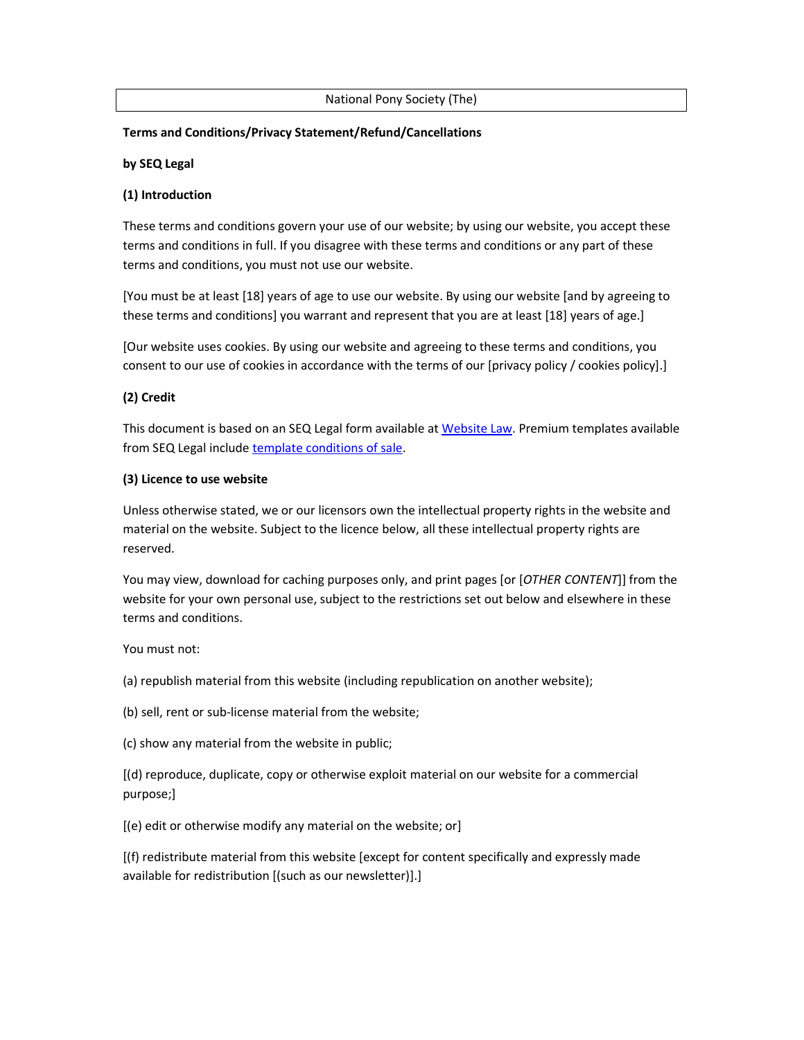#### National Pony Society (The)

### **Terms and Conditions/Privacy Statement/Refund/Cancellations**

#### **by SEQ Legal**

#### **(1) Introduction**

These terms and conditions govern your use of our website; by using our website, you accept these terms and conditions in full. If you disagree with these terms and conditions or any part of these terms and conditions, you must not use our website.

[You must be at least [18] years of age to use our website. By using our website [and by agreeing to these terms and conditions] you warrant and represent that you are at least [18] years of age.]

[Our website uses cookies. By using our website and agreeing to these terms and conditions, you consent to our use of cookies in accordance with the terms of our [privacy policy / cookies policy].]

### **(2) Credit**

This document is based on an SEQ Legal form available at Website Law. Premium templates available from SEQ Legal include template conditions of sale.

#### **(3) Licence to use website**

Unless otherwise stated, we or our licensors own the intellectual property rights in the website and material on the website. Subject to the licence below, all these intellectual property rights are reserved.

You may view, download for caching purposes only, and print pages [or [*OTHER CONTENT*]] from the website for your own personal use, subject to the restrictions set out below and elsewhere in these terms and conditions.

You must not:

(a) republish material from this website (including republication on another website);

(b) sell, rent or sub-license material from the website;

(c) show any material from the website in public;

[(d) reproduce, duplicate, copy or otherwise exploit material on our website for a commercial purpose;]

[(e) edit or otherwise modify any material on the website; or]

[(f) redistribute material from this website [except for content specifically and expressly made available for redistribution [(such as our newsletter)].]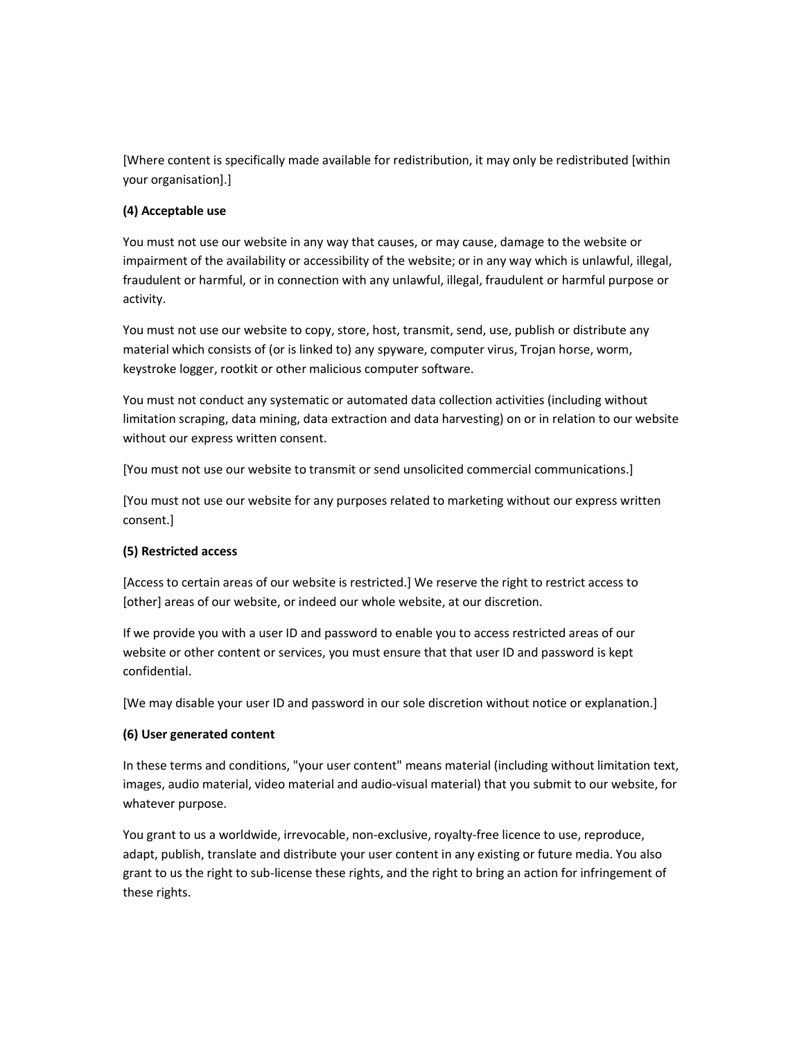[Where content is specifically made available for redistribution, it may only be redistributed [within your organisation].]

## **(4) Acceptable use**

You must not use our website in any way that causes, or may cause, damage to the website or impairment of the availability or accessibility of the website; or in any way which is unlawful, illegal, fraudulent or harmful, or in connection with any unlawful, illegal, fraudulent or harmful purpose or activity.

You must not use our website to copy, store, host, transmit, send, use, publish or distribute any material which consists of (or is linked to) any spyware, computer virus, Trojan horse, worm, keystroke logger, rootkit or other malicious computer software.

You must not conduct any systematic or automated data collection activities (including without limitation scraping, data mining, data extraction and data harvesting) on or in relation to our website without our express written consent.

[You must not use our website to transmit or send unsolicited commercial communications.]

[You must not use our website for any purposes related to marketing without our express written consent.]

### **(5) Restricted access**

[Access to certain areas of our website is restricted.] We reserve the right to restrict access to [other] areas of our website, or indeed our whole website, at our discretion.

If we provide you with a user ID and password to enable you to access restricted areas of our website or other content or services, you must ensure that that user ID and password is kept confidential.

[We may disable your user ID and password in our sole discretion without notice or explanation.]

## **(6) User generated content**

In these terms and conditions, "your user content" means material (including without limitation text, images, audio material, video material and audio-visual material) that you submit to our website, for whatever purpose.

You grant to us a worldwide, irrevocable, non-exclusive, royalty-free licence to use, reproduce, adapt, publish, translate and distribute your user content in any existing or future media. You also grant to us the right to sub-license these rights, and the right to bring an action for infringement of these rights.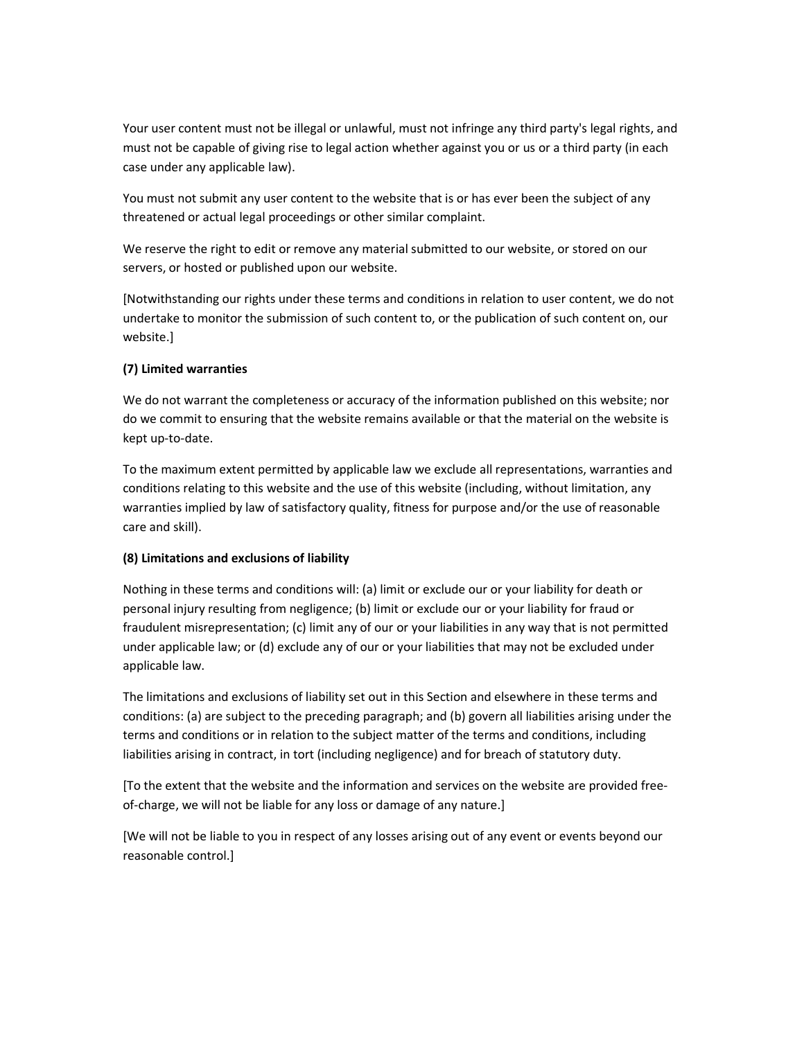Your user content must not be illegal or unlawful, must not infringe any third party's legal rights, and must not be capable of giving rise to legal action whether against you or us or a third party (in each case under any applicable law).

You must not submit any user content to the website that is or has ever been the subject of any threatened or actual legal proceedings or other similar complaint.

We reserve the right to edit or remove any material submitted to our website, or stored on our servers, or hosted or published upon our website.

[Notwithstanding our rights under these terms and conditions in relation to user content, we do not undertake to monitor the submission of such content to, or the publication of such content on, our website.]

## **(7) Limited warranties**

We do not warrant the completeness or accuracy of the information published on this website; nor do we commit to ensuring that the website remains available or that the material on the website is kept up-to-date.

To the maximum extent permitted by applicable law we exclude all representations, warranties and conditions relating to this website and the use of this website (including, without limitation, any warranties implied by law of satisfactory quality, fitness for purpose and/or the use of reasonable care and skill).

### **(8) Limitations and exclusions of liability**

Nothing in these terms and conditions will: (a) limit or exclude our or your liability for death or personal injury resulting from negligence; (b) limit or exclude our or your liability for fraud or fraudulent misrepresentation; (c) limit any of our or your liabilities in any way that is not permitted under applicable law; or (d) exclude any of our or your liabilities that may not be excluded under applicable law.

The limitations and exclusions of liability set out in this Section and elsewhere in these terms and conditions: (a) are subject to the preceding paragraph; and (b) govern all liabilities arising under the terms and conditions or in relation to the subject matter of the terms and conditions, including liabilities arising in contract, in tort (including negligence) and for breach of statutory duty.

[To the extent that the website and the information and services on the website are provided freeof-charge, we will not be liable for any loss or damage of any nature.]

[We will not be liable to you in respect of any losses arising out of any event or events beyond our reasonable control.]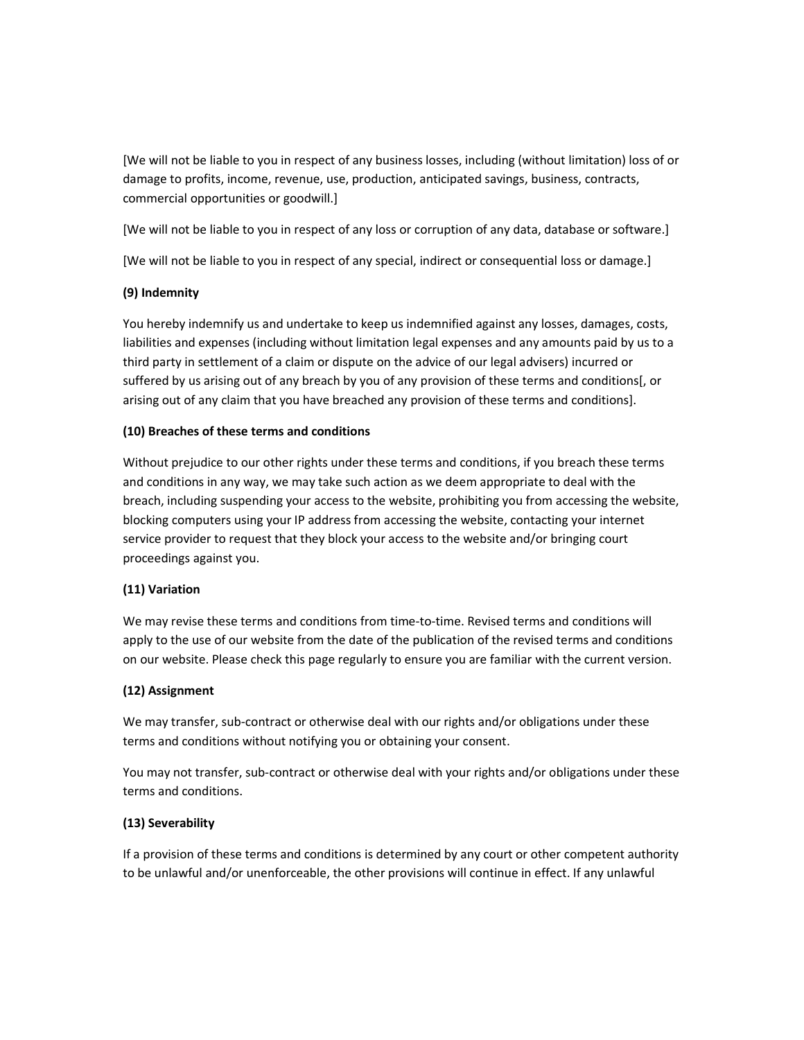[We will not be liable to you in respect of any business losses, including (without limitation) loss of or damage to profits, income, revenue, use, production, anticipated savings, business, contracts, commercial opportunities or goodwill.]

[We will not be liable to you in respect of any loss or corruption of any data, database or software.]

[We will not be liable to you in respect of any special, indirect or consequential loss or damage.]

## **(9) Indemnity**

You hereby indemnify us and undertake to keep us indemnified against any losses, damages, costs, liabilities and expenses (including without limitation legal expenses and any amounts paid by us to a third party in settlement of a claim or dispute on the advice of our legal advisers) incurred or suffered by us arising out of any breach by you of any provision of these terms and conditions[, or arising out of any claim that you have breached any provision of these terms and conditions].

## **(10) Breaches of these terms and conditions**

Without prejudice to our other rights under these terms and conditions, if you breach these terms and conditions in any way, we may take such action as we deem appropriate to deal with the breach, including suspending your access to the website, prohibiting you from accessing the website, blocking computers using your IP address from accessing the website, contacting your internet service provider to request that they block your access to the website and/or bringing court proceedings against you.

## **(11) Variation**

We may revise these terms and conditions from time-to-time. Revised terms and conditions will apply to the use of our website from the date of the publication of the revised terms and conditions on our website. Please check this page regularly to ensure you are familiar with the current version.

### **(12) Assignment**

We may transfer, sub-contract or otherwise deal with our rights and/or obligations under these terms and conditions without notifying you or obtaining your consent.

You may not transfer, sub-contract or otherwise deal with your rights and/or obligations under these terms and conditions.

## **(13) Severability**

If a provision of these terms and conditions is determined by any court or other competent authority to be unlawful and/or unenforceable, the other provisions will continue in effect. If any unlawful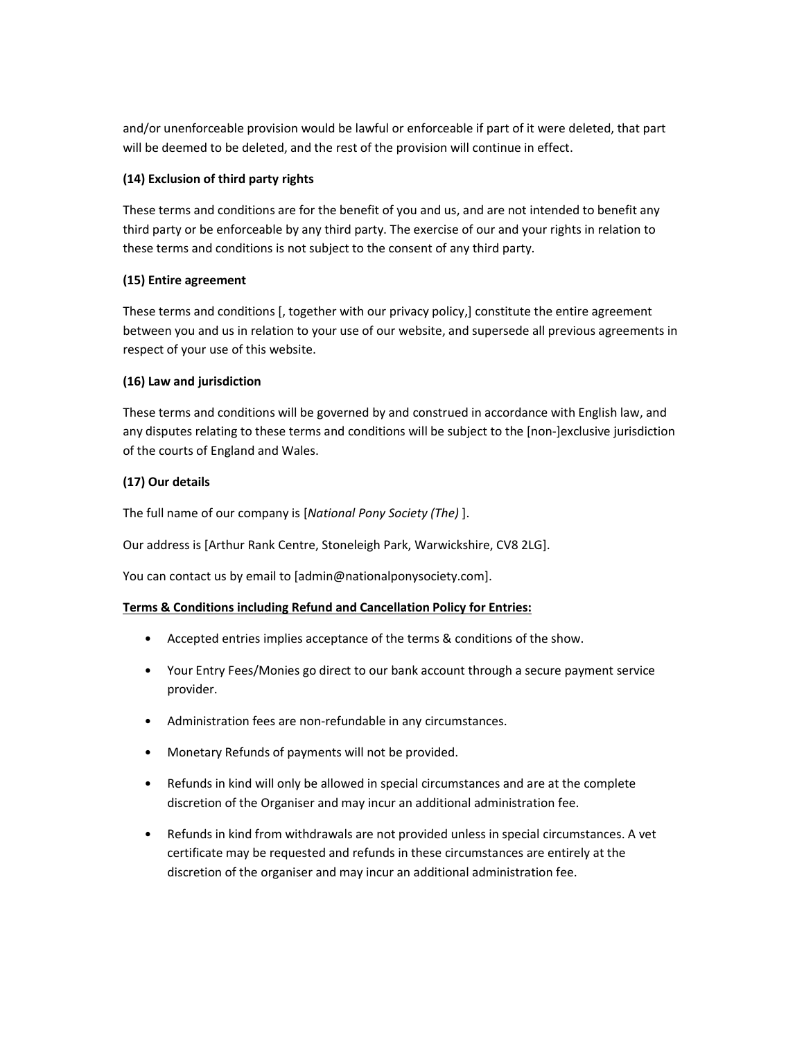and/or unenforceable provision would be lawful or enforceable if part of it were deleted, that part will be deemed to be deleted, and the rest of the provision will continue in effect.

## **(14) Exclusion of third party rights**

These terms and conditions are for the benefit of you and us, and are not intended to benefit any third party or be enforceable by any third party. The exercise of our and your rights in relation to these terms and conditions is not subject to the consent of any third party.

## **(15) Entire agreement**

These terms and conditions [, together with our privacy policy,] constitute the entire agreement between you and us in relation to your use of our website, and supersede all previous agreements in respect of your use of this website.

## **(16) Law and jurisdiction**

These terms and conditions will be governed by and construed in accordance with English law, and any disputes relating to these terms and conditions will be subject to the [non-]exclusive jurisdiction of the courts of England and Wales.

## **(17) Our details**

The full name of our company is [*National Pony Society (The)* ].

Our address is [Arthur Rank Centre, Stoneleigh Park, Warwickshire, CV8 2LG].

You can contact us by email to [admin@nationalponysociety.com].

### **Terms & Conditions including Refund and Cancellation Policy for Entries:**

- Accepted entries implies acceptance of the terms & conditions of the show.
- Your Entry Fees/Monies go direct to our bank account through a secure payment service provider.
- Administration fees are non-refundable in any circumstances.
- Monetary Refunds of payments will not be provided.
- Refunds in kind will only be allowed in special circumstances and are at the complete discretion of the Organiser and may incur an additional administration fee.
- Refunds in kind from withdrawals are not provided unless in special circumstances. A vet certificate may be requested and refunds in these circumstances are entirely at the discretion of the organiser and may incur an additional administration fee.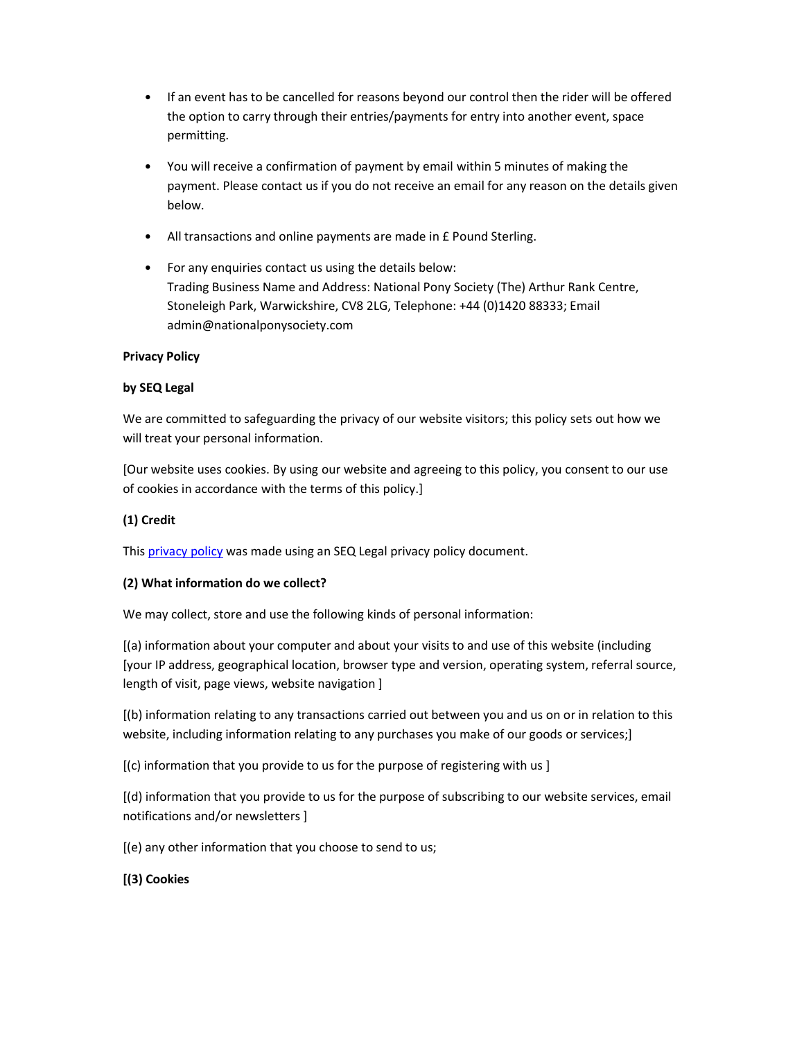- If an event has to be cancelled for reasons beyond our control then the rider will be offered the option to carry through their entries/payments for entry into another event, space permitting.
- You will receive a confirmation of payment by email within 5 minutes of making the payment. Please contact us if you do not receive an email for any reason on the details given below.
- All transactions and online payments are made in £ Pound Sterling.
- For any enquiries contact us using the details below: Trading Business Name and Address: National Pony Society (The) Arthur Rank Centre, Stoneleigh Park, Warwickshire, CV8 2LG, Telephone: +44 (0)1420 88333; Email admin@nationalponysociety.com

## **Privacy Policy**

## **by SEQ Legal**

We are committed to safeguarding the privacy of our website visitors; this policy sets out how we will treat your personal information.

[Our website uses cookies. By using our website and agreeing to this policy, you consent to our use of cookies in accordance with the terms of this policy.]

## **(1) Credit**

This privacy policy was made using an SEQ Legal privacy policy document.

## **(2) What information do we collect?**

We may collect, store and use the following kinds of personal information:

[(a) information about your computer and about your visits to and use of this website (including [your IP address, geographical location, browser type and version, operating system, referral source, length of visit, page views, website navigation ]

[(b) information relating to any transactions carried out between you and us on or in relation to this website, including information relating to any purchases you make of our goods or services;]

[(c) information that you provide to us for the purpose of registering with us ]

[(d) information that you provide to us for the purpose of subscribing to our website services, email notifications and/or newsletters ]

[(e) any other information that you choose to send to us;

## **[(3) Cookies**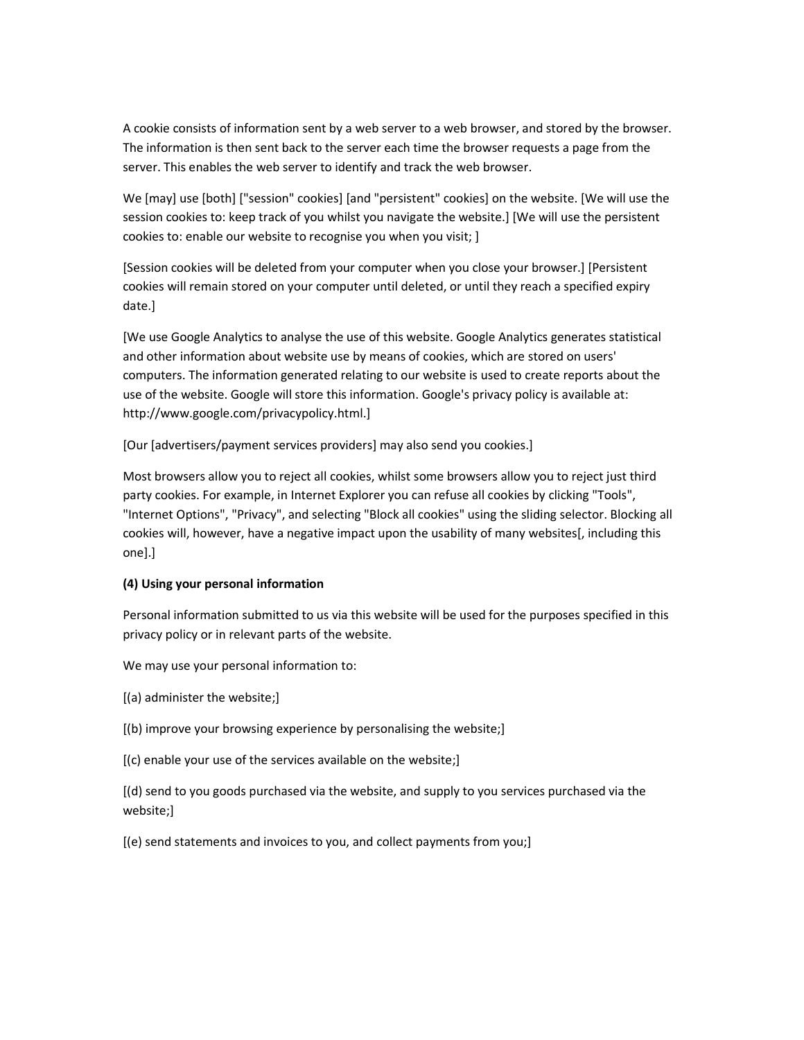A cookie consists of information sent by a web server to a web browser, and stored by the browser. The information is then sent back to the server each time the browser requests a page from the server. This enables the web server to identify and track the web browser.

We [may] use [both] ["session" cookies] [and "persistent" cookies] on the website. [We will use the session cookies to: keep track of you whilst you navigate the website.] [We will use the persistent cookies to: enable our website to recognise you when you visit; ]

[Session cookies will be deleted from your computer when you close your browser.] [Persistent cookies will remain stored on your computer until deleted, or until they reach a specified expiry date.]

[We use Google Analytics to analyse the use of this website. Google Analytics generates statistical and other information about website use by means of cookies, which are stored on users' computers. The information generated relating to our website is used to create reports about the use of the website. Google will store this information. Google's privacy policy is available at: http://www.google.com/privacypolicy.html.]

[Our [advertisers/payment services providers] may also send you cookies.]

Most browsers allow you to reject all cookies, whilst some browsers allow you to reject just third party cookies. For example, in Internet Explorer you can refuse all cookies by clicking "Tools", "Internet Options", "Privacy", and selecting "Block all cookies" using the sliding selector. Blocking all cookies will, however, have a negative impact upon the usability of many websites[, including this one].]

## **(4) Using your personal information**

Personal information submitted to us via this website will be used for the purposes specified in this privacy policy or in relevant parts of the website.

We may use your personal information to:

- [(a) administer the website;]
- [(b) improve your browsing experience by personalising the website;]
- [(c) enable your use of the services available on the website;]

[(d) send to you goods purchased via the website, and supply to you services purchased via the website;]

[(e) send statements and invoices to you, and collect payments from you;]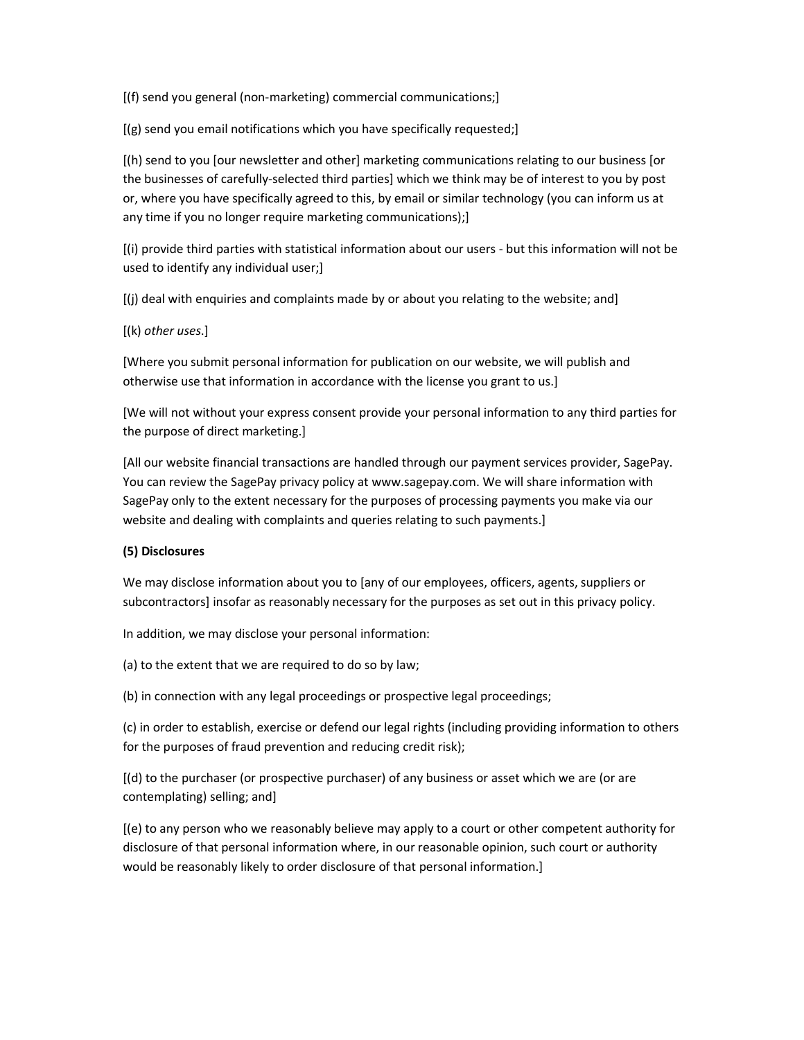[(f) send you general (non-marketing) commercial communications;]

[(g) send you email notifications which you have specifically requested;]

[(h) send to you [our newsletter and other] marketing communications relating to our business [or the businesses of carefully-selected third parties] which we think may be of interest to you by post or, where you have specifically agreed to this, by email or similar technology (you can inform us at any time if you no longer require marketing communications);]

[(i) provide third parties with statistical information about our users - but this information will not be used to identify any individual user;]

[(j) deal with enquiries and complaints made by or about you relating to the website; and]

[(k) *other uses*.]

[Where you submit personal information for publication on our website, we will publish and otherwise use that information in accordance with the license you grant to us.]

[We will not without your express consent provide your personal information to any third parties for the purpose of direct marketing.]

[All our website financial transactions are handled through our payment services provider, SagePay. You can review the SagePay privacy policy at www.sagepay.com. We will share information with SagePay only to the extent necessary for the purposes of processing payments you make via our website and dealing with complaints and queries relating to such payments.]

### **(5) Disclosures**

We may disclose information about you to [any of our employees, officers, agents, suppliers or subcontractors] insofar as reasonably necessary for the purposes as set out in this privacy policy.

In addition, we may disclose your personal information:

(a) to the extent that we are required to do so by law;

(b) in connection with any legal proceedings or prospective legal proceedings;

(c) in order to establish, exercise or defend our legal rights (including providing information to others for the purposes of fraud prevention and reducing credit risk);

[(d) to the purchaser (or prospective purchaser) of any business or asset which we are (or are contemplating) selling; and]

[(e) to any person who we reasonably believe may apply to a court or other competent authority for disclosure of that personal information where, in our reasonable opinion, such court or authority would be reasonably likely to order disclosure of that personal information.]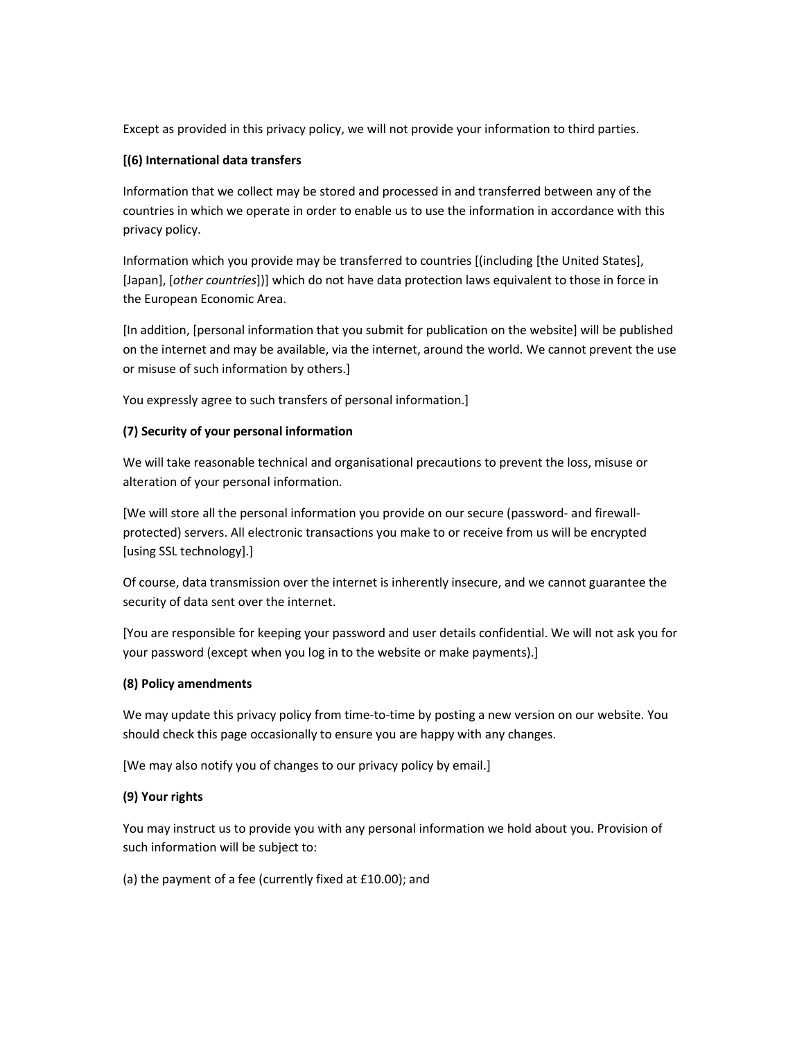Except as provided in this privacy policy, we will not provide your information to third parties.

## **[(6) International data transfers**

Information that we collect may be stored and processed in and transferred between any of the countries in which we operate in order to enable us to use the information in accordance with this privacy policy.

Information which you provide may be transferred to countries [(including [the United States], [Japan], [*other countries*])] which do not have data protection laws equivalent to those in force in the European Economic Area.

[In addition, [personal information that you submit for publication on the website] will be published on the internet and may be available, via the internet, around the world. We cannot prevent the use or misuse of such information by others.]

You expressly agree to such transfers of personal information.]

## **(7) Security of your personal information**

We will take reasonable technical and organisational precautions to prevent the loss, misuse or alteration of your personal information.

[We will store all the personal information you provide on our secure (password- and firewallprotected) servers. All electronic transactions you make to or receive from us will be encrypted [using SSL technology].]

Of course, data transmission over the internet is inherently insecure, and we cannot guarantee the security of data sent over the internet.

[You are responsible for keeping your password and user details confidential. We will not ask you for your password (except when you log in to the website or make payments).]

### **(8) Policy amendments**

We may update this privacy policy from time-to-time by posting a new version on our website. You should check this page occasionally to ensure you are happy with any changes.

[We may also notify you of changes to our privacy policy by email.]

### **(9) Your rights**

You may instruct us to provide you with any personal information we hold about you. Provision of such information will be subject to:

(a) the payment of a fee (currently fixed at £10.00); and